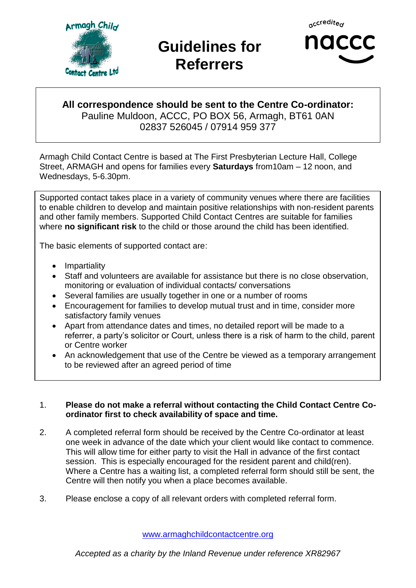

## **Guidelines for Referrers**



<sub>n</sub>ccredite<sub>n</sub>

## **All correspondence should be sent to the Centre Co-ordinator:** Pauline Muldoon, ACCC, PO BOX 56, Armagh, BT61 0AN 02837 526045 / 07914 959 377

Armagh Child Contact Centre is based at The First Presbyterian Lecture Hall, College Street, ARMAGH and opens for families every **Saturdays** from10am – 12 noon, and Wednesdays, 5-6.30pm.

Supported contact takes place in a variety of community venues where there are facilities to enable children to develop and maintain positive relationships with non-resident parents and other family members. Supported Child Contact Centres are suitable for families where **no significant risk** to the child or those around the child has been identified.

The basic elements of supported contact are:

- Impartiality
- Staff and volunteers are available for assistance but there is no close observation, monitoring or evaluation of individual contacts/ conversations
- Several families are usually together in one or a number of rooms
- Encouragement for families to develop mutual trust and in time, consider more satisfactory family venues
- Apart from attendance dates and times, no detailed report will be made to a referrer, a party's solicitor or Court, unless there is a risk of harm to the child, parent or Centre worker
- An acknowledgement that use of the Centre be viewed as a temporary arrangement to be reviewed after an agreed period of time

## 1. **Please do not make a referral without contacting the Child Contact Centre Coordinator first to check availability of space and time.**

- 2. A completed referral form should be received by the Centre Co-ordinator at least one week in advance of the date which your client would like contact to commence. This will allow time for either party to visit the Hall in advance of the first contact session. This is especially encouraged for the resident parent and child(ren). Where a Centre has a waiting list, a completed referral form should still be sent, the Centre will then notify you when a place becomes available.
- 3. Please enclose a copy of all relevant orders with completed referral form.

[www.armaghchildcontactcentre.org](http://www.armaghchildcontactcentre.org/)

*Accepted as a charity by the Inland Revenue under reference XR82967*